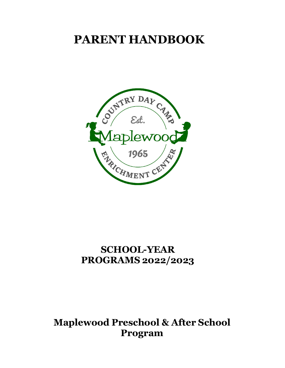# **PARENT HANDBOOK**



## **SCHOOL-YEAR PROGRAMS 2022/2023**

### **Maplewood Preschool & After School Program**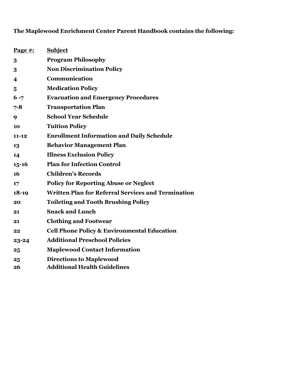### **The Maplewood Enrichment Center Parent Handbook contains the following:**

| Page $#$ :              | <b>Subject</b>                                            |
|-------------------------|-----------------------------------------------------------|
| 3                       | <b>Program Philosophy</b>                                 |
| 3                       | <b>Non Discrimination Policy</b>                          |
| $\overline{\mathbf{4}}$ | Communication                                             |
| $\overline{\mathbf{5}}$ | <b>Medication Policy</b>                                  |
| $6 - 7$                 | <b>Evacuation and Emergency Procedures</b>                |
| $7 - 8$                 | <b>Transportation Plan</b>                                |
| 9                       | <b>School Year Schedule</b>                               |
| 10                      | <b>Tuition Policy</b>                                     |
| $11 - 12$               | <b>Enrollment Information and Daily Schedule</b>          |
| 13                      | <b>Behavior Management Plan</b>                           |
| 14                      | <b>Illness Exclusion Policy</b>                           |
| $15 - 16$               | <b>Plan for Infection Control</b>                         |
| 16                      | <b>Children's Records</b>                                 |
| 17                      | <b>Policy for Reporting Abuse or Neglect</b>              |
| $18-19$                 | <b>Written Plan for Referral Services and Termination</b> |
| 20                      | <b>Toileting and Tooth Brushing Policy</b>                |
| 21                      | <b>Snack and Lunch</b>                                    |
| 21                      | <b>Clothing and Footwear</b>                              |
| 22                      | <b>Cell Phone Policy &amp; Environmental Education</b>    |
| $23 - 24$               | <b>Additional Preschool Policies</b>                      |
| 25                      | <b>Maplewood Contact Information</b>                      |
| 25                      | <b>Directions to Maplewood</b>                            |
| 26                      | <b>Additional Health Guidelines</b>                       |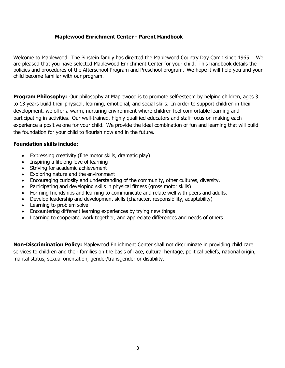#### **Maplewood Enrichment Center - Parent Handbook**

Welcome to Maplewood. The Pinstein family has directed the Maplewood Country Day Camp since 1965. We are pleased that you have selected Maplewood Enrichment Center for your child. This handbook details the policies and procedures of the Afterschool Program and Preschool program. We hope it will help you and your child become familiar with our program.

**Program Philosophy:** Our philosophy at Maplewood is to promote self-esteem by helping children, ages 3 to 13 years build their physical, learning, emotional, and social skills. In order to support children in their development, we offer a warm, nurturing environment where children feel comfortable learning and participating in activities. Our well-trained, highly qualified educators and staff focus on making each experience a positive one for your child. We provide the ideal combination of fun and learning that will build the foundation for your child to flourish now and in the future.

#### **Foundation skills include:**

- Expressing creativity (fine motor skills, dramatic play)
- Inspiring a lifelong love of learning
- Striving for academic achievement
- Exploring nature and the environment
- Encouraging curiosity and understanding of the community, other cultures, diversity.
- Participating and developing skills in physical fitness (gross motor skills)
- Forming friendships and learning to communicate and relate well with peers and adults.
- Develop leadership and development skills (character, responsibility, adaptability)
- Learning to problem solve
- Encountering different learning experiences by trying new things
- Learning to cooperate, work together, and appreciate differences and needs of others

**Non-Discrimination Policy:** Maplewood Enrichment Center shall not discriminate in providing child care services to children and their families on the basis of race, cultural heritage, political beliefs, national origin, marital status, sexual orientation, gender/transgender or disability.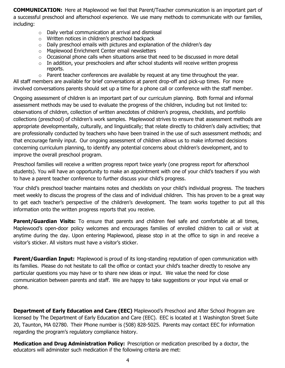**COMMUNICATION:** Here at Maplewood we feel that Parent/Teacher communication is an important part of a successful preschool and afterschool experience. We use many methods to communicate with our families, including:

- o Daily verbal communication at arrival and dismissal
- o Written notices in children's preschool backpack
- o Daily preschool emails with pictures and explanation of the children's day
- o Maplewood Enrichment Center email newsletters
- $\circ$  Occasional phone calls when situations arise that need to be discussed in more detail
- o In addition, your preschoolers and after school students will receive written progress reports.

 $\circ$  Parent teacher conferences are available by request at any time throughout the year. All staff members are available for brief conversations at parent drop-off and pick-up times. For more involved conversations parents should set up a time for a phone call or conference with the staff member.

Ongoing assessment of children is an important part of our curriculum planning. Both formal and informal assessment methods may be used to evaluate the progress of the children, including but not limited to: observations of children, collection of written anecdotes of children's progress, checklists, and portfolio collections (preschool) of children's work samples. Maplewood strives to ensure that assessment methods are appropriate developmentally, culturally, and linguistically; that relate directly to children's daily activities; that are professionally conducted by teachers who have been trained in the use of such assessment methods; and that encourage family input. Our ongoing assessment of children allows us to make informed decisions concerning curriculum planning, to identify any potential concerns about children's development, and to improve the overall preschool program.

Preschool families will receive a written progress report twice yearly (one progress report for afterschool students). You will have an opportunity to make an appointment with one of your child's teachers if you wish to have a parent teacher conference to further discuss your child's progress.

Your child's preschool teacher maintains notes and checklists on your child's individual progress. The teachers meet weekly to discuss the progress of the class and of individual children. This has proven to be a great way to get each teacher's perspective of the children's development. The team works together to put all this information onto the written progress reports that you receive.

**Parent/Guardian Visits:** To ensure that parents and children feel safe and comfortable at all times, Maplewood's open-door policy welcomes and encourages families of enrolled children to call or visit at anytime during the day. Upon entering Maplewood, please stop in at the office to sign in and receive a visitor's sticker. All visitors must have a visitor's sticker.

**Parent/Guardian Input:** Maplewood is proud of its long-standing reputation of open communication with its families. Please do not hesitate to call the office or contact your child's teacher directly to resolve any particular questions you may have or to share new ideas or input. We value the need for close communication between parents and staff. We are happy to take suggestions or your input via email or phone.

**Department of Early Education and Care (EEC)** Maplewood's Preschool and After School Program are licensed by The Department of Early Education and Care (EEC). EEC is located at 1 Washington Street Suite 20, Taunton, MA 02780. Their Phone number is (508) 828-5025. Parents may contact EEC for information regarding the program's regulatory compliance history.

**Medication and Drug Administration Policy:** Prescription or medication prescribed by a doctor, the educators will administer such medication if the following criteria are met: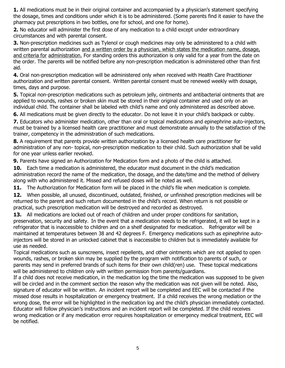**1.** All medications must be in their original container and accompanied by a physician's statement specifying the dosage, times and conditions under which it is to be administered. (Some parents find it easier to have the pharmacy put prescriptions in two bottles, one for school, and one for home).

**2.** No educator will administer the first dose of any medication to a child except under extraordinary circumstances and with parental consent.

**3.** Non-prescription medicines such as Tylenol or cough medicines may only be administered to a child with written parental authorization and a written order by a physician, which states the medication name, dosage, and criteria for administration. For standing orders this authorization is only valid for a year from the date on the order. The parents will be notified before any non-prescription medication is administered other than first aid.

**4.** Oral non-prescription medication will be administered only when received with Health Care Practitioner authorization and written parental consent. Written parental consent must be renewed weekly with dosage, times, days and purpose.

**5.** Topical non-prescription medications such as petroleum jelly, ointments and antibacterial ointments that are applied to wounds, rashes or broken skin must be stored in their original container and used only on an individual child. The container shall be labeled with child's name and only administered as described above.

**6.** All medications must be given directly to the educator. Do not leave it in your child's backpack or cubby.

**7.** Educators who administer medication, other than oral or topical medications and epinephrine auto-injectors, must be trained by a licensed health care practitioner and must demonstrate annually to the satisfaction of the trainer, competency in the administration of such medications.

**8.** A requirement that parents provide written authorization by a licensed health care practitioner for administration of any non- topical, non-prescription medication to their child. Such authorization shall be valid for one year unless earlier revoked.

**9.** Parents have signed an Authorization for Medication form and a photo of the child is attached.

**10.** Each time a medication is administered, the educator must document in the child's medication administration record the name of the medication, the dosage, and the date/time and the method of delivery along with who administered it. Missed and refused doses will be noted as well.

**11.** The Authorization for Medication form will be placed in the child's file when medication is complete.

**12.** When possible, all unused, discontinued, outdated, finished, or unfinished prescription medicines will be returned to the parent and such return documented in the child's record. When return is not possible or practical, such prescription medication will be destroyed and recorded as destroyed.

**13.** All medications are locked out of reach of children and under proper conditions for sanitation, preservation, security and safety. In the event that a medication needs to be refrigerated, it will be kept in a refrigerator that is inaccessible to children and on a shelf designated for medication. Refrigerator will be maintained at temperatures between 38 and 42 degrees F. Emergency medications such as epinephrine autoinjectors will be stored in an unlocked cabinet that is inaccessible to children but is immediately available for use as needed.

Topical medications such as sunscreens, insect repellents, and other ointments which are not applied to open wounds, rashes, or broken skin may be supplied by the program with notification to parents of such, or parents may send in preferred brands of such items for their own child(ren) use. These topical medications will be administered to children only with written permission from parents/guardians.

If a child does not receive medication, in the medication log the time the medication was supposed to be given will be circled and in the comment section the reason why the medication was not given will be noted. Also, signature of educator will be written. An incident report will be completed and EEC will be contacted if the missed dose results in hospitalization or emergency treatment. If a child receives the wrong mediation or the wrong dose, the error will be highlighted in the medication log and the child's physician immediately contacted. Educator will follow physician's instructions and an incident report will be completed. If the child receives wrong medication or if any medication error requires hospitalization or emergency medical treatment, EEC will be notified.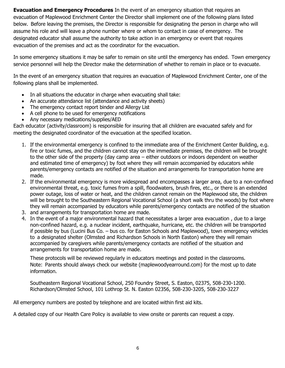**Evacuation and Emergency Procedures** In the event of an emergency situation that requires an evacuation of Maplewood Enrichment Center the Director shall implement one of the following plans listed below. Before leaving the premises, the Director is responsible for designating the person in charge who will assume his role and will leave a phone number where or whom to contact in case of emergency. The designated educator shall assume the authority to take action in an emergency or event that requires evacuation of the premises and act as the coordinator for the evacuation.

In some emergency situations it may be safer to remain on site until the emergency has ended. Town emergency service personnel will help the Director make the determination of whether to remain in place or to evacuate.

In the event of an emergency situation that requires an evacuation of Maplewood Enrichment Center, one of the following plans shall be implemented.

- In all situations the educator in charge when evacuating shall take:
- An accurate attendance list (attendance and activity sheets)
- The emergency contact report binder and Allergy List
- A cell phone to be used for emergency notifications
- Any necessary medications/supplies/AED

Each educator (activity/classroom) is responsible for insuring that all children are evacuated safely and for meeting the designated coordinator of the evacuation at the specified location.

- 1. If the environmental emergency is confined to the immediate area of the Enrichment Center Building, e.g. fire or toxic fumes, and the children cannot stay on the immediate premises, the children will be brought to the other side of the property (day camp area – either outdoors or indoors dependent on weather and estimated time of emergency) by foot where they will remain accompanied by educators while parents/emergency contacts are notified of the situation and arrangements for transportation home are made.
- 2. If the environmental emergency is more widespread and encompasses a larger area, due to a non-confined environmental threat, e.g. toxic fumes from a spill, floodwaters, brush fires, etc., or there is an extended power outage, loss of water or heat, and the children cannot remain on the Maplewood site, the children will be brought to the Southeastern Regional Vocational School (a short walk thru the woods) by foot where they will remain accompanied by educators while parents/emergency contacts are notified of the situation
- 3. and arrangements for transportation home are made.
- 4. In the event of a major environmental hazard that necessitates a larger area evacuation , due to a large non-confined hazard, e.g. a nuclear incident, earthquake, hurricane, etc. the children will be transported if possible by bus (Lucini Bus Co. – bus co. for Easton Schools and Maplewood), town emergency vehicles to a designated shelter (Olmsted and Richardson Schools in North Easton) where they will remain accompanied by caregivers while parents/emergency contacts are notified of the situation and arrangements for transportation home are made.

These protocols will be reviewed regularly in educators meetings and posted in the classrooms. Note: Parents should always check our website (maplewoodyearround.com) for the most up to date information.

Southeastern Regional Vocational School, 250 Foundry Street, S. Easton, 02375, 508-230-1200. Richardson/Olmsted School, 101 Lothrop St. N. Easton 02356, 508-230-3205, 508-230-3227

All emergency numbers are posted by telephone and are located within first aid kits.

A detailed copy of our Health Care Policy is available to view onsite or parents can request a copy.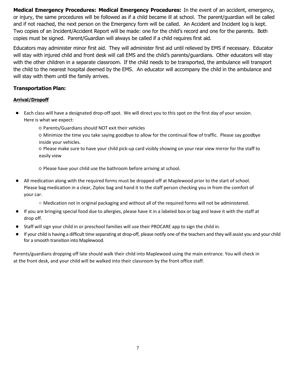**Medical Emergency Procedures: Medical Emergency Procedures:** In the event of an accident, emergency, or injury, the same procedures will be followed as if a child became ill at school. The parent/guardian will be called and if not reached, the next person on the Emergency form will be called. An Accident and Incident log is kept. Two copies of an Incident/Accident Report will be made: one for the child's record and one for the parents. Both copies must be signed. Parent/Guardian will always be called if a child requires first aid.

Educators may administer minor first aid. They will administer first aid until relieved by EMS if necessary. Educator will stay with injured child and front desk will call EMS and the child's parents/guardians. Other educators will stay with the other children in a separate classroom. If the child needs to be transported, the ambulance will transport the child to the nearest hospital deemed by the EMS. An educator will accompany the child in the ambulance and will stay with them until the family arrives.

#### **Transportation Plan:**

#### **Arrival/Dropoff**

- Each class will have a designated drop-off spot. We will direct you to this spot on the first day of your session. Here is what we expect:
	- Parents/Guardians should NOT exit their vehicles
	- Minimize the time you take saying goodbye to allow for the continual flow of traffic. Please say goodbye inside your vehicles.
	- Please make sure to have your child pick-up card visibly showing on your rear view mirror for the staff to easily view

○ Please have your child use the bathroom before arriving at school.

- All medication along with the required forms must be dropped-off at Maplewood prior to the start of school. Please bag medication in a clear, Ziploc bag and hand it to the staff person checking you in from the comfort of your car.
	- Medication not in original packaging and without all of the required forms will not be administered.
- If you are bringing special food due to allergies, please have it in a labeled box or bag and leave it with the staff at drop off.
- Staff will sign your child in or preschool families will use their PROCARE app to sign the child in.
- If your child is having a difficult time separating at drop-off, please notify one of the teachers and they will assist you and your child for a smooth transition into Maplewood.

Parents/guardians dropping off late should walk their child into Maplewood using the main entrance. You will check in at the front desk, and your child will be walked into their classroom by the front office staff.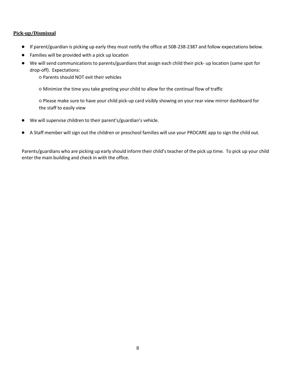#### **Pick-up/Dismissal**

- If parent/guardian is picking up early they must notify the office at 508-238-2387 and follow expectations below.
- Families will be provided with a pick up location
- We will send communications to parents/guardians that assign each child their pick- up location (same spot for drop-off). Expectations:

○ Parents should NOT exit their vehicles

○ Minimize the time you take greeting your child to allow for the continual flow of traffic

○ Please make sure to have your child pick-up card visibly showing on your rear view mirror dashboard for the staff to easily view

- We will supervise children to their parent's/guardian's vehicle.
- A Staff member will sign out the children or preschool families will use your PROCARE app to sign the child out.

Parents/guardians who are picking up early should inform their child's teacher of the pick up time. To pick up your child enter the main building and check in with the office.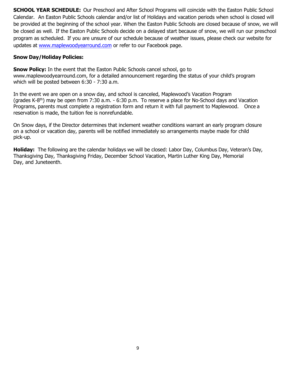**SCHOOL YEAR SCHEDULE:** Our Preschool and After School Programs will coincide with the Easton Public School Calendar. An Easton Public Schools calendar and/or list of Holidays and vacation periods when school is closed will be provided at the beginning of the school year. When the Easton Public Schools are closed because of snow, we will be closed as well. If the Easton Public Schools decide on a delayed start because of snow, we will run our preschool program as scheduled. If you are unsure of our schedule because of weather issues, please check our website for updates at [www.maplewoodyearround.com](http://www.maplewoodyearround.com/) or refer to our Facebook page.

#### **Snow Day/Holiday Policies:**

**Snow Policy:** In the event that the Easton Public Schools cancel school, go to [www.maplewoodyearround.com, f](http://www.maplewoodyearround.com/)or a detailed announcement regarding the status of your child's program which will be posted between 6:30 - 7:30 a.m.

In the event we are open on a snow day, and school is canceled, Maplewood's Vacation Program (grades K-8<sup>th</sup>) may be open from 7:30 a.m. - 6:30 p.m. To reserve a place for No-School days and Vacation Programs, parents must complete a registration form and return it with full payment to Maplewood. Once a reservation is made, the tuition fee is nonrefundable.

On Snow days, if the Director determines that inclement weather conditions warrant an early program closure on a school or vacation day, parents will be notified immediately so arrangements maybe made for child pick-up.

**Holiday:** The following are the calendar holidays we will be closed: Labor Day, Columbus Day, Veteran's Day, Thanksgiving Day, Thanksgiving Friday, December School Vacation, Martin Luther King Day, Memorial Day, and Juneteenth.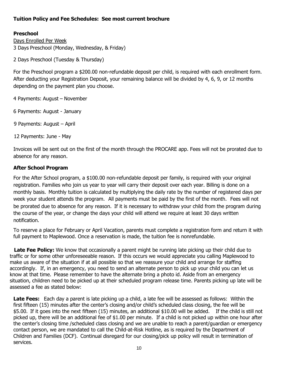#### **Tuition Policy and Fee Schedules: See most current brochure**

#### **Preschool**

Days Enrolled Per Week 3 Days Preschool (Monday, Wednesday, & Friday)

2 Days Preschool (Tuesday & Thursday)

For the Preschool program a \$200.00 non-refundable deposit per child, is required with each enrollment form. After deducting your Registration Deposit, your remaining balance will be divided by 4, 6, 9, or 12 months depending on the payment plan you choose.

4 Payments: August – November

6 Payments: August - January

9 Payments: August – April

12 Payments: June - May

Invoices will be sent out on the first of the month through the PROCARE app. Fees will not be prorated due to absence for any reason.

#### **After School Program**

For the After School program, a \$100.00 non-refundable deposit per family, is required with your original registration. Families who join us year to year will carry their deposit over each year. Billing is done on a monthly basis. Monthly tuition is calculated by multiplying the daily rate by the number of registered days per week your student attends the program. All payments must be paid by the first of the month. Fees will not be prorated due to absence for any reason. If it is necessary to withdraw your child from the program during the course of the year, or change the days your child will attend we require at least 30 days written notification.

To reserve a place for February or April Vacation, parents must complete a registration form and return it with full payment to Maplewood. Once a reservation is made, the tuition fee is nonrefundable.

 **Late Fee Policy:** We know that occasionally a parent might be running late picking up their child due to traffic or for some other unforeseeable reason. If this occurs we would appreciate you calling Maplewood to make us aware of the situation if at all possible so that we reassure your child and arrange for staffing accordingly. If, in an emergency, you need to send an alternate person to pick up your child you can let us know at that time. Please remember to have the alternate bring a photo id. Aside from an emergency situation, children need to be picked up at their scheduled program release time. Parents picking up late will be assessed a fee as stated below:

**Late Fees:** Each day a parent is late picking up a child, a late fee will be assessed as follows: Within the first fifteen (15) minutes after the center's closing and/or child's scheduled class closing, the fee will be \$5.00. If it goes into the next fifteen (15) minutes, an additional \$10.00 will be added. If the child is still not picked up, there will be an additional fee of \$1.00 per minute. If a child is not picked up within one hour after the center's closing time /scheduled class closing and we are unable to reach a parent/guardian or emergency contact person, we are mandated to call the Child-at-Risk Hotline, as is required by the Department of Children and Families (DCF). Continual disregard for our closing/pick up policy will result in termination of services.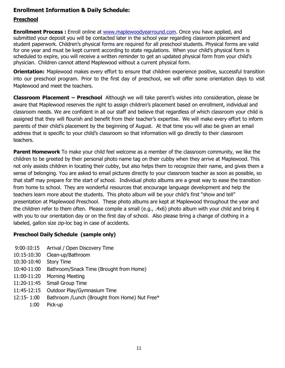#### **Enrollment Information & Daily Schedule:**

#### **Preschool**

**Enrollment Process :** Enroll online at [www.maplewoodyearround.com. O](http://www.maplewoodyearround.com/)nce you have applied, and submitted your deposit you will be contacted later in the school year regarding classroom placement and student paperwork. Children's physical forms are required for all preschool students. Physical forms are valid for one year and must be kept current according to state regulations. When your child's physical form is scheduled to expire, you will receive a written reminder to get an updated physical form from your child's physician. Children cannot attend Maplewood without a current physical form.

**Orientation:** Maplewood makes every effort to ensure that children experience positive, successful transition into our preschool program. Prior to the first day of preschool, we will offer some orientation days to visit Maplewood and meet the teachers.

**Classroom Placement – Preschool** Although we will take parent's wishes into consideration, please be aware that Maplewood reserves the right to assign children's placement based on enrollment, individual and classroom needs. We are confident in all our staff and believe that regardless of which classroom your child is assigned that they will flourish and benefit from their teacher's expertise. We will make every effort to inform parents of their child's placement by the beginning of August. At that time you will also be given an email address that is specific to your child's classroom so that information will go directly to their classroom teachers.

**Parent Homework** To make your child feel welcome as a member of the classroom community, we like the children to be greeted by their personal photo name tag on their cubby when they arrive at Maplewood. This not only assists children in locating their cubby, but also helps them to recognize their name, and gives them a sense of belonging. You are asked to email pictures directly to your classroom teacher as soon as possible, so that staff may prepare for the start of school. Individual photo albums are a great way to ease the transition from home to school. They are wonderful resources that encourage language development and help the teachers learn more about the students. This photo album will be your child's first "show and tell" presentation at Maplewood Preschool. These photo albums are kept at Maplewood throughout the year and the children refer to them often. Please compile a small (e.g., .4x6) photo album with your child and bring it with you to our orientation day or on the first day of school. Also please bring a change of clothing in a labeled, gallon size zip-loc bag in case of accidents.

#### **Preschool Daily Schedule (sample only)**

- 9:00-10:15 Arrival / Open Discovery Time
- 10:15-10:30 Clean-up/Bathroom
- 10:30-10:40 Story Time
- 10:40-11:00 Bathroom/Snack Time (Brought from Home)
- 11:00-11:20 Morning Meeting
- 11:20-11:45 Small Group Time
- 11:45-12:15 Outdoor Play/Gymnasium Time
- 12:15- 1:00 Bathroom /Lunch (Brought from Home) Nut Free\*
	- 1:00 Pick-up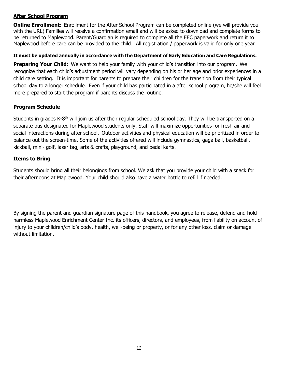#### **After School Program**

**Online Enrollment:** Enrollment for the After School Program can be completed online (we will provide you with the URL) Families will receive a confirmation email and will be asked to download and complete forms to be returned to Maplewood. Parent/Guardian is required to complete all the EEC paperwork and return it to Maplewood before care can be provided to the child. All registration / paperwork is valid for only one year

#### **It must be updated annually in accordance with the Department of Early Education and Care Regulations.**

**Preparing Your Child:** We want to help your family with your child's transition into our program. We recognize that each child's adjustment period will vary depending on his or her age and prior experiences in a child care setting. It is important for parents to prepare their children for the transition from their typical school day to a longer schedule. Even if your child has participated in a after school program, he/she will feel more prepared to start the program if parents discuss the routine.

#### **Program Schedule**

Students in grades K-8<sup>th</sup> will join us after their regular scheduled school day. They will be transported on a separate bus designated for Maplewood students only. Staff will maximize opportunities for fresh air and social interactions during after school. Outdoor activities and physical education will be prioritized in order to balance out the screen-time. Some of the activities offered will include gymnastics, gaga ball, basketball, kickball, mini- golf, laser tag, arts & crafts, playground, and pedal karts.

#### **Items to Bring**

Students should bring all their belongings from school. We ask that you provide your child with a snack for their afternoons at Maplewood. Your child should also have a water bottle to refill if needed.

By signing the parent and guardian signature page of this handbook, you agree to release, defend and hold harmless Maplewood Enrichment Center Inc. its officers, directors, and employees, from liability on account of injury to your children/child's body, health, well-being or property, or for any other loss, claim or damage without limitation.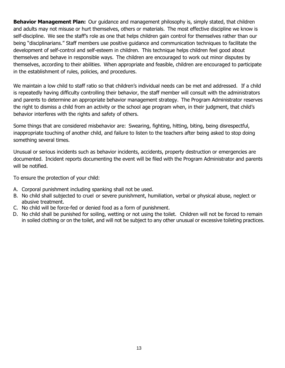**Behavior Management Plan:** Our guidance and management philosophy is, simply stated, that children and adults may not misuse or hurt themselves, others or materials. The most effective discipline we know is self-discipline. We see the staff's role as one that helps children gain control for themselves rather than our being "disciplinarians." Staff members use positive guidance and communication techniques to facilitate the development of self-control and self-esteem in children. This technique helps children feel good about themselves and behave in responsible ways. The children are encouraged to work out minor disputes by themselves, according to their abilities. When appropriate and feasible, children are encouraged to participate in the establishment of rules, policies, and procedures.

We maintain a low child to staff ratio so that children's individual needs can be met and addressed. If a child is repeatedly having difficulty controlling their behavior, the staff member will consult with the administrators and parents to determine an appropriate behavior management strategy. The Program Administrator reserves the right to dismiss a child from an activity or the school age program when, in their judgment, that child's behavior interferes with the rights and safety of others.

Some things that are considered misbehavior are: Swearing, fighting, hitting, biting, being disrespectful, inappropriate touching of another child, and failure to listen to the teachers after being asked to stop doing something several times.

Unusual or serious incidents such as behavior incidents, accidents, property destruction or emergencies are documented. Incident reports documenting the event will be filed with the Program Administrator and parents will be notified.

To ensure the protection of your child:

- A. Corporal punishment including spanking shall not be used.
- B. No child shall subjected to cruel or severe punishment, humiliation, verbal or physical abuse, neglect or abusive treatment.
- C. No child will be force-fed or denied food as a form of punishment.
- D. No child shall be punished for soiling, wetting or not using the toilet. Children will not be forced to remain in soiled clothing or on the toilet, and will not be subject to any other unusual or excessive toileting practices.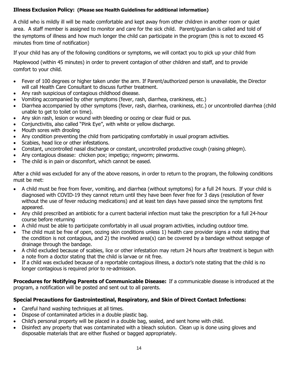#### **Illness Exclusion Policy: (Please see Health Guidelines for additional information)**

A child who is mildly ill will be made comfortable and kept away from other children in another room or quiet area. A staff member is assigned to monitor and care for the sick child. Parent/guardian is called and told of the symptoms of illness and how much longer the child can participate in the program (this is not to exceed 45 minutes from time of notification)

If your child has any of the following conditions or symptoms, we will contact you to pick up your child from

Maplewood (within 45 minutes) in order to prevent contagion of other children and staff, and to provide comfort to your child.

- Fever of 100 degrees or higher taken under the arm. If Parent/authorized person is unavailable, the Director will call Health Care Consultant to discuss further treatment.
- Any rash suspicious of contagious childhood disease.
- Vomiting accompanied by other symptoms (fever, rash, diarrhea, crankiness, etc.)
- Diarrhea accompanied by other symptoms (fever, rash, diarrhea, crankiness, etc.) or uncontrolled diarrhea (child unable to get to toilet on time).
- Any skin rash, lesion or wound with bleeding or oozing or clear fluid or pus.
- Conjunctivitis, also called "Pink Eye", with white or yellow discharge.
- Mouth sores with drooling
- Any condition preventing the child from participating comfortably in usual program activities.
- Scabies, head lice or other infestations.
- Constant, uncontrolled nasal discharge or constant, uncontrolled productive cough (raising phlegm).
- Any contagious disease: chicken pox; impetigo; ringworm; pinworms.
- The child is in pain or discomfort, which cannot be eased.

After a child was excluded for any of the above reasons, in order to return to the program, the following conditions must be met:

- A child must be free from fever, vomiting, and diarrhea (without symptoms) for a full 24 hours. If your child is diagnosed with COVID-19 they cannot return until they have been fever free for 3 days (resolution of fever without the use of fever reducing medications) and at least ten days have passed since the symptoms first appeared.
- Any child prescribed an antibiotic for a current bacterial infection must take the prescription for a full 24-hour course before returning
- A child must be able to participate comfortably in all usual program activities, including outdoor time.
- The child must be free of open, oozing skin conditions unless 1) health care provider signs a note stating that the condition is not contagious, and 2) the involved area(s) can be covered by a bandage without seepage of drainage through the bandage.
- A child excluded because of scabies, lice or other infestation may return 24 hours after treatment is begun with a note from a doctor stating that the child is larvae or nit free.
- If a child was excluded because of a reportable contagious illness, a doctor's note stating that the child is no longer contagious is required prior to re-admission.

**Procedures for Notifying Parents of Communicable Disease:** If a communicable disease is introduced at the program, a notification will be posted and sent out to all parents.

#### **Special Precautions for Gastrointestinal, Respiratory, and Skin of Direct Contact Infections:**

- Careful hand washing techniques at all times.
- Dispose of contaminated articles in a double plastic bag.
- Child's personal property will be placed in a double bag, sealed, and sent home with child.
- Disinfect any property that was contaminated with a bleach solution. Clean up is done using gloves and disposable materials that are either flushed or bagged appropriately.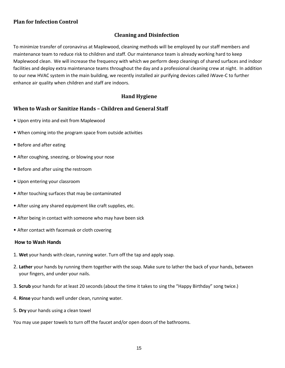#### **Plan for Infection Control**

#### **Cleaning and Disinfection**

To minimize transfer of coronavirus at Maplewood, cleaning methods will be employed by our staff members and maintenance team to reduce risk to children and staff. Our maintenance team is already working hard to keep Maplewood clean. We will increase the frequency with which we perform deep cleanings of shared surfaces and indoor facilities and deploy extra maintenance teams throughout the day and a professional cleaning crew at night. In addition to our new HVAC system in the main building, we recently installed air purifying devices called iWave-C to further enhance air quality when children and staff are indoors.

#### **Hand Hygiene**

#### **When to Wash or Sanitize Hands – Children and General Staff**

- Upon entry into and exit from Maplewood
- When coming into the program space from outside activities
- Before and after eating
- After coughing, sneezing, or blowing your nose
- Before and after using the restroom
- Upon entering your classroom
- After touching surfaces that may be contaminated
- After using any shared equipment like craft supplies, etc.
- After being in contact with someone who may have been sick
- After contact with facemask or cloth covering

#### **How to Wash Hands**

- 1. **Wet** your hands with clean, running water. Turn off the tap and apply soap.
- 2. **Lather** your hands by running them together with the soap. Make sure to lather the back of your hands, between your fingers, and under your nails.
- 3. **Scrub** your hands for at least 20 seconds (about the time it takes to sing the "Happy Birthday" song twice.)
- 4. **Rinse** your hands well under clean, running water.
- 5. **Dry** your hands using a clean towel

You may use paper towels to turn off the faucet and/or open doors of the bathrooms.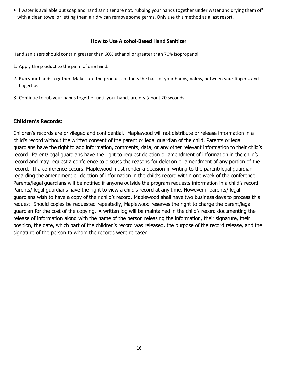• If water is available but soap and hand sanitizer are not, rubbing your hands together under water and drying them off with a clean towel or letting them air dry can remove some germs. Only use this method as a last resort.

#### **How to Use Alcohol-Based Hand Sanitizer**

Hand sanitizers should contain greater than 60% ethanol or greater than 70% isopropanol.

- 1. Apply the product to the palm of one hand.
- 2. Rub your hands together. Make sure the product contacts the back of your hands, palms, between your fingers, and fingertips.
- 3. Continue to rub your hands together until your hands are dry (about 20 seconds).

#### **Children's Records**:

Children's records are privileged and confidential. Maplewood will not distribute or release information in a child's record without the written consent of the parent or legal guardian of the child. Parents or legal guardians have the right to add information, comments, data, or any other relevant information to their child's record. Parent/legal guardians have the right to request deletion or amendment of information in the child's record and may request a conference to discuss the reasons for deletion or amendment of any portion of the record. If a conference occurs, Maplewood must render a decision in writing to the parent/legal guardian regarding the amendment or deletion of information in the child's record within one week of the conference. Parents/legal guardians will be notified if anyone outside the program requests information in a child's record. Parents/ legal guardians have the right to view a child's record at any time. However if parents/ legal guardians wish to have a copy of their child's record, Maplewood shall have two business days to process this request. Should copies be requested repeatedly, Maplewood reserves the right to charge the parent/legal guardian for the cost of the copying. A written log will be maintained in the child's record documenting the release of information along with the name of the person releasing the information, their signature, their position, the date, which part of the children's record was released, the purpose of the record release, and the signature of the person to whom the records were released.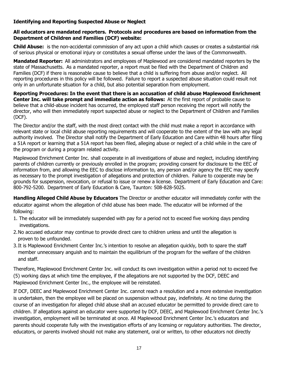#### **Identifying and Reporting Suspected Abuse or Neglect**

#### **All educators are mandated reporters. Protocols and procedures are based on information from the Department of Children and Families (DCF) website:**

**Child Abuse:** is the non-accidental commission of any act upon a child which causes or creates a substantial risk of serious physical or emotional injury or constitutes a sexual offense under the laws of the Commonwealth.

**Mandated Reporter:** All administrators and employees of Maplewood are considered mandated reporters by the state of Massachusetts. As a mandated reporter, a report must be filed with the Department of Children and Families (DCF) if there is reasonable cause to believe that a child is suffering from abuse and/or neglect. All reporting procedures in this policy will be followed. Failure to report a suspected abuse situation could result not only in an unfortunate situation for a child, but also potential separation from employment.

**Reporting Procedures: In the event that there is an accusation of child abuse Maplewood Enrichment Center Inc. will take prompt and immediate action as follows:** At the first report of probable cause to believe that a child-abuse incident has occurred, the employed staff person receiving the report will notify the director, who will then immediately report suspected abuse or neglect to the Department of Children and Families (DCF).

The Director and/or the staff, with the most direct contact with the child must make a report in accordance with relevant state or local child abuse reporting requirements and will cooperate to the extent of the law with any legal authority involved. The Director shall notify the Department of Early Education and Care within 48 hours after filing a 51A report or learning that a 51A report has been filed, alleging abuse or neglect of a child while in the care of the program or during a program related activity.

Maplewood Enrichment Center Inc. shall cooperate in all investigations of abuse and neglect, including identifying parents of children currently or previously enrolled in the program; providing consent for disclosure to the EEC of information from, and allowing the EEC to disclose information to, any person and/or agency the EEC may specify as necessary to the prompt investigation of allegations and protection of children. Failure to cooperate may be grounds for suspension, revocation, or refusal to issue or renew a license. Department of Early Education and Care: 800-792-5200. Department of Early Education & Care, Taunton: 508-828-5025.

**Handling Alleged Child Abuse by Educators** The Director or another educator will immediately confer with the educator against whom the allegation of child abuse has been made. The educator will be informed of the following:

- 1. The educator will be immediately suspended with pay for a period not to exceed five working days pending investigations.
- 2.No accused educator may continue to provide direct care to children unless and until the allegation is proven to be unfounded.
- 3.It is Maplewood Enrichment Center Inc.'s intention to resolve an allegation quickly, both to spare the staff member unnecessary anguish and to maintain the equilibrium of the program for the welfare of the children and staff.

Therefore, Maplewood Enrichment Center Inc. will conduct its own investigation within a period not to exceed five (5) working days at which time the employee, if the allegations are not supported by the DCF, DEEC and Maplewood Enrichment Center Inc., the employee will be reinstated.

If DCF, DEEC and Maplewood Enrichment Center Inc. cannot reach a resolution and a more extensive investigation is undertaken, then the employee will be placed on suspension without pay, indefinitely. At no time during the course of an investigation for alleged child abuse shall an accused educator be permitted to provide direct care to children. If allegations against an educator were supported by DCF, DEEC, and Maplewood Enrichment Center Inc.'s investigation, employment will be terminated at once. All Maplewood Enrichment Center Inc.'s educators and parents should cooperate fully with the investigation efforts of any licensing or regulatory authorities. The director, educators, or parents involved should not make any statement, oral or written, to other educators not directly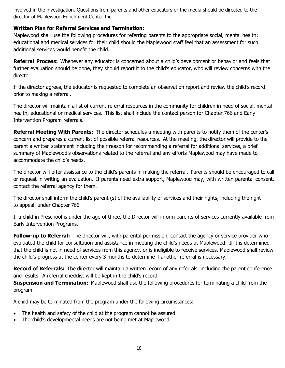involved in the investigation. Questions from parents and other educators or the media should be directed to the director of Maplewood Enrichment Center Inc.

#### **Written Plan for Referral Services and Termination:**

Maplewood shall use the following procedures for referring parents to the appropriate social, mental health; educational and medical services for their child should the Maplewood staff feel that an assessment for such additional services would benefit the child.

**Referral Process:** Whenever any educator is concerned about a child's development or behavior and feels that further evaluation should be done, they should report it to the child's educator, who will review concerns with the director.

If the director agrees, the educator is requested to complete an observation report and review the child's record prior to making a referral.

The director will maintain a list of current referral resources in the community for children in need of social, mental health, educational or medical services. This list shall include the contact person for Chapter 766 and Early Intervention Program referrals.

**Referral Meeting With Parents:** The director schedules a meeting with parents to notify them of the center's concern and prepares a current list of possible referral resources. At the meeting, the director will provide to the parent a written statement including their reason for recommending a referral for additional services, a brief summary of Maplewood's observations related to the referral and any efforts Maplewood may have made to accommodate the child's needs.

The director will offer assistance to the child's parents in making the referral. Parents should be encouraged to call or request in writing an evaluation. If parents need extra support, Maplewood may, with written parental consent, contact the referral agency for them.

The director shall inform the child's parent (s) of the availability of services and their rights, including the right to appeal, under Chapter 766.

If a child in Preschool is under the age of three, the Director will inform parents of services currently available from Early Intervention Programs.

**Follow-up to Referral:** The director will, with parental permission, contact the agency or service provider who evaluated the child for consultation and assistance in meeting the child's needs at Maplewood. If it is determined that the child is not in need of services from this agency, or is ineligible to receive services, Maplewood shall review the child's progress at the center every 3 months to determine if another referral is necessary.

**Record of Referrals:** The director will maintain a written record of any referrals, including the parent conference and results. A referral checklist will be kept in the child's record.

**Suspension and Termination:** Maplewood shall use the following procedures for terminating a child from the program:

A child may be terminated from the program under the following circumstances:

- The health and safety of the child at the program cannot be assured.
- The child's developmental needs are not being met at Maplewood.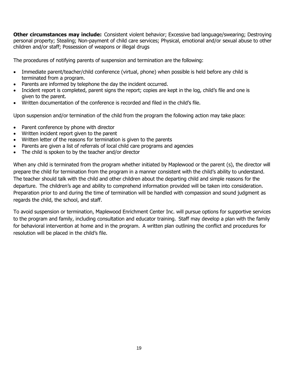**Other circumstances may include:** Consistent violent behavior; Excessive bad language/swearing; Destroying personal property; Stealing; Non-payment of child care services; Physical, emotional and/or sexual abuse to other children and/or staff; Possession of weapons or illegal drugs

The procedures of notifying parents of suspension and termination are the following:

- Immediate parent/teacher/child conference (virtual, phone) when possible is held before any child is terminated from a program.
- Parents are informed by telephone the day the incident occurred.
- Incident report is completed, parent signs the report; copies are kept in the log, child's file and one is given to the parent.
- Written documentation of the conference is recorded and filed in the child's file.

Upon suspension and/or termination of the child from the program the following action may take place:

- Parent conference by phone with director
- Written incident report given to the parent
- Written letter of the reasons for termination is given to the parents
- Parents are given a list of referrals of local child care programs and agencies
- The child is spoken to by the teacher and/or director

When any child is terminated from the program whether initiated by Maplewood or the parent (s), the director will prepare the child for termination from the program in a manner consistent with the child's ability to understand. The teacher should talk with the child and other children about the departing child and simple reasons for the departure. The children's age and ability to comprehend information provided will be taken into consideration. Preparation prior to and during the time of termination will be handled with compassion and sound judgment as regards the child, the school, and staff.

To avoid suspension or termination, Maplewood Enrichment Center Inc. will pursue options for supportive services to the program and family, including consultation and educator training. Staff may develop a plan with the family for behavioral intervention at home and in the program. A written plan outlining the conflict and procedures for resolution will be placed in the child's file.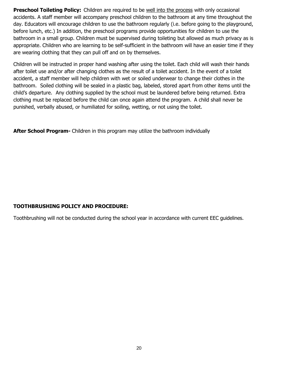**Preschool Toileting Policy:** Children are required to be well into the process with only occasional accidents. A staff member will accompany preschool children to the bathroom at any time throughout the day. Educators will encourage children to use the bathroom regularly (i.e. before going to the playground, before lunch, etc.) In addition, the preschool programs provide opportunities for children to use the bathroom in a small group. Children must be supervised during toileting but allowed as much privacy as is appropriate. Children who are learning to be self-sufficient in the bathroom will have an easier time if they are wearing clothing that they can pull off and on by themselves.

Children will be instructed in proper hand washing after using the toilet. Each child will wash their hands after toilet use and/or after changing clothes as the result of a toilet accident. In the event of a toilet accident, a staff member will help children with wet or soiled underwear to change their clothes in the bathroom. Soiled clothing will be sealed in a plastic bag, labeled, stored apart from other items until the child's departure. Any clothing supplied by the school must be laundered before being returned. Extra clothing must be replaced before the child can once again attend the program. A child shall never be punished, verbally abused, or humiliated for soiling, wetting, or not using the toilet.

**After School Program-** Children in this program may utilize the bathroom individually

#### **TOOTHBRUSHING POLICY AND PROCEDURE:**

Toothbrushing will not be conducted during the school year in accordance with current EEC guidelines.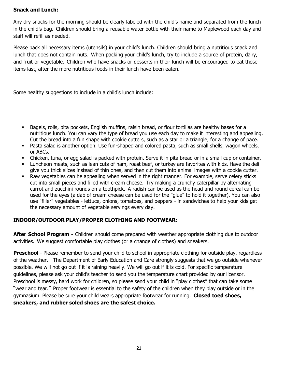#### **Snack and Lunch:**

Any dry snacks for the morning should be clearly labeled with the child's name and separated from the lunch in the child's bag. Children should bring a reusable water bottle with their name to Maplewood each day and staff will refill as needed.

Please pack all necessary items (utensils) in your child's lunch. Children should bring a nutritious snack and lunch that does not contain nuts. When packing your child's lunch, try to include a source of protein, dairy, and fruit or vegetable. Children who have snacks or desserts in their lunch will be encouraged to eat those items last, after the more nutritious foods in their lunch have been eaten.

Some healthy suggestions to include in a child's lunch include:

- Bagels, rolls, pita pockets, English muffins, raisin bread, or flour tortillas are healthy bases for a nutritious lunch. You can vary the type of bread you use each day to make it interesting and appealing. Cut the bread into a fun shape with cookie cutters, such as a star or a triangle, for a change of pace.
- Pasta salad is another option. Use fun-shaped and colored pasta, such as small shells, wagon wheels, or ABCs.
- Chicken, tuna, or egg salad is packed with protein. Serve it in pita bread or in a small cup or container.
- Luncheon meats, such as lean cuts of ham, roast beef, or turkey are favorites with kids. Have the deli give you thick slices instead of thin ones, and then cut them into animal images with a cookie cutter.
- Raw vegetables can be appealing when served in the right manner. For example, serve celery sticks cut into small pieces and filled with cream cheese. Try making a crunchy caterpillar by alternating carrot and zucchini rounds on a toothpick. A radish can be used as the head and round cereal can be used for the eyes (a dab of cream cheese can be used for the "glue" to hold it together). You can also use "filler" vegetables - lettuce, onions, tomatoes, and peppers - in sandwiches to help your kids get the necessary amount of vegetable servings every day.

#### **INDOOR/OUTDOOR PLAY/PROPER CLOTHING AND FOOTWEAR:**

**After School Program -** Children should come prepared with weather appropriate clothing due to outdoor activities. We suggest comfortable play clothes (or a change of clothes) and sneakers.

**Preschool** - Please remember to send your child to school in appropriate clothing for outside play, regardless of the weather. The Department of Early Education and Care strongly suggests that we go outside whenever possible. We will not go out if it is raining heavily. We will go out if it is cold. For specific temperature guidelines, please ask your child's teacher to send you the temperature chart provided by our licensor. Preschool is messy, hard work for children, so please send your child in "play clothes" that can take some "wear and tear." Proper footwear is essential to the safety of the children when they play outside or in the gymnasium. Please be sure your child wears appropriate footwear for running. **Closed toed shoes, sneakers, and rubber soled shoes are the safest choice.**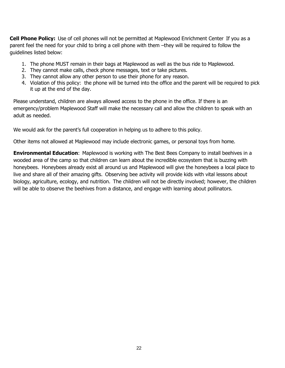**Cell Phone Policy:** Use of cell phones will not be permitted at Maplewood Enrichment Center If you as a parent feel the need for your child to bring a cell phone with them –they will be required to follow the guidelines listed below:

- 1. The phone MUST remain in their bags at Maplewood as well as the bus ride to Maplewood.
- 2. They cannot make calls, check phone messages, text or take pictures.
- 3. They cannot allow any other person to use their phone for any reason.
- 4. Violation of this policy: the phone will be turned into the office and the parent will be required to pick it up at the end of the day.

Please understand, children are always allowed access to the phone in the office. If there is an emergency/problem Maplewood Staff will make the necessary call and allow the children to speak with an adult as needed.

We would ask for the parent's full cooperation in helping us to adhere to this policy.

Other items not allowed at Maplewood may include electronic games, or personal toys from home.

**Environmental Education**: Maplewood is working with The Best Bees Company to install beehives in a wooded area of the camp so that children can learn about the incredible ecosystem that is buzzing with honeybees. Honeybees already exist all around us and Maplewood will give the honeybees a local place to live and share all of their amazing gifts. Observing bee activity will provide kids with vital lessons about biology, agriculture, ecology, and nutrition. The children will not be directly involved; however, the children will be able to observe the beehives from a distance, and engage with learning about pollinators.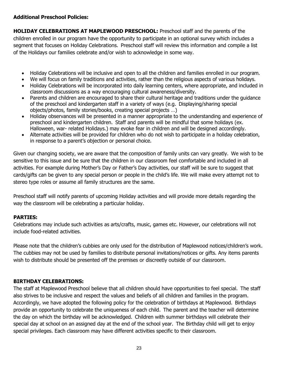#### **Additional Preschool Policies:**

**HOLIDAY CELEBRATIONS AT MAPLEWOOD PRESCHOOL:** Preschool staff and the parents of the children enrolled in our program have the opportunity to participate in an optional survey which includes a segment that focuses on Holiday Celebrations. Preschool staff will review this information and compile a list of the Holidays our families celebrate and/or wish to acknowledge in some way.

- Holiday Celebrations will be inclusive and open to all the children and families enrolled in our program.
- We will focus on family traditions and activities, rather than the religious aspects of various holidays.
- Holiday Celebrations will be incorporated into daily learning centers, where appropriate, and included in classroom discussions as a way encouraging cultural awareness/diversity.
- Parents and children are encouraged to share their cultural heritage and traditions under the guidance of the preschool and kindergarten staff in a variety of ways (e.g. Displaying/sharing special objects/photos, family stories/books, creating special projects …)
- Holiday observances will be presented in a manner appropriate to the understanding and experience of preschool and kindergarten children. Staff and parents will be mindful that some holidays (ex. Halloween, war- related Holidays.) may evoke fear in children and will be designed accordingly.
- Alternate activities will be provided for children who do not wish to participate in a holiday celebration, in response to a parent's objection or personal choice.

Given our changing society, we are aware that the composition of family units can vary greatly. We wish to be sensitive to this issue and be sure that the children in our classroom feel comfortable and included in all activities. For example during Mother's Day or Father's Day activities, our staff will be sure to suggest that cards/gifts can be given to any special person or people in the child's life. We will make every attempt not to stereo type roles or assume all family structures are the same.

Preschool staff will notify parents of upcoming Holiday activities and will provide more details regarding the way the classroom will be celebrating a particular holiday.

#### **PARTIES:**

Celebrations may include such activities as arts/crafts, music, games etc. However, our celebrations will not include food-related activities.

Please note that the children's cubbies are only used for the distribution of Maplewood notices/children's work. The cubbies may not be used by families to distribute personal invitations/notices or gifts. Any items parents wish to distribute should be presented off the premises or discreetly outside of our classroom.

#### **BIRTHDAY CELEBRATIONS:**

The staff at Maplewood Preschool believe that all children should have opportunities to feel special. The staff also strives to be inclusive and respect the values and beliefs of all children and families in the program. Accordingly, we have adopted the following policy for the celebration of birthdays at Maplewood. Birthdays provide an opportunity to celebrate the uniqueness of each child. The parent and the teacher will determine the day on which the birthday will be acknowledged. Children with summer birthdays will celebrate their special day at school on an assigned day at the end of the school year. The Birthday child will get to enjoy special privileges. Each classroom may have different activities specific to their classroom.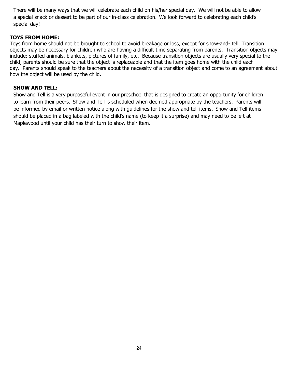There will be many ways that we will celebrate each child on his/her special day. We will not be able to allow a special snack or dessert to be part of our in-class celebration. We look forward to celebrating each child's special day!

#### **TOYS FROM HOME:**

Toys from home should not be brought to school to avoid breakage or loss, except for show-and- tell. Transition objects may be necessary for children who are having a difficult time separating from parents. Transition objects may include: stuffed animals, blankets, pictures of family, etc. Because transition objects are usually very special to the child, parents should be sure that the object is replaceable and that the item goes home with the child each day. Parents should speak to the teachers about the necessity of a transition object and come to an agreement about how the object will be used by the child.

#### **SHOW AND TELL:**

Show and Tell is a very purposeful event in our preschool that is designed to create an opportunity for children to learn from their peers. Show and Tell is scheduled when deemed appropriate by the teachers. Parents will be informed by email or written notice along with guidelines for the show and tell items. Show and Tell items should be placed in a bag labeled with the child's name (to keep it a surprise) and may need to be left at Maplewood until your child has their turn to show their item.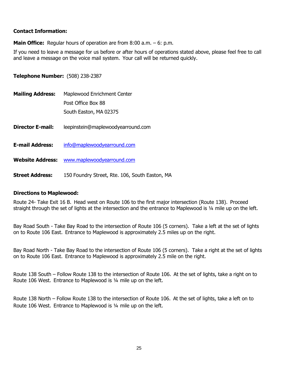#### **Contact Information:**

**Main Office:** Regular hours of operation are from 8:00 a.m. – 6: p.m.

If you need to leave a message for us before or after hours of operations stated above, please feel free to call and leave a message on the voice mail system. Your call will be returned quickly.

**Telephone Number:** (508) 238-2387

| <b>Mailing Address:</b> | Maplewood Enrichment Center<br>Post Office Box 88<br>South Easton, MA 02375 |
|-------------------------|-----------------------------------------------------------------------------|
| <b>Director E-mail:</b> | leepinstein@maplewoodyearround.com                                          |
| <b>E-mail Address:</b>  | info@maplewoodyearround.com                                                 |
| <b>Website Address:</b> | www.maplewoodyearround.com                                                  |
| <b>Street Address:</b>  | 150 Foundry Street, Rte. 106, South Easton, MA                              |

#### **Directions to Maplewood:**

Route 24- Take Exit 16 B. Head west on Route 106 to the first major intersection (Route 138). Proceed straight through the set of lights at the intersection and the entrance to Maplewood is 1/4 mile up on the left.

Bay Road South - Take Bay Road to the intersection of Route 106 (5 corners). Take a left at the set of lights on to Route 106 East. Entrance to Maplewood is approximately 2.5 miles up on the right.

Bay Road North - Take Bay Road to the intersection of Route 106 (5 corners). Take a right at the set of lights on to Route 106 East. Entrance to Maplewood is approximately 2.5 mile on the right.

Route 138 South – Follow Route 138 to the intersection of Route 106. At the set of lights, take a right on to Route 106 West. Entrance to Maplewood is ¼ mile up on the left.

Route 138 North – Follow Route 138 to the intersection of Route 106. At the set of lights, take a left on to Route 106 West. Entrance to Maplewood is ¼ mile up on the left.